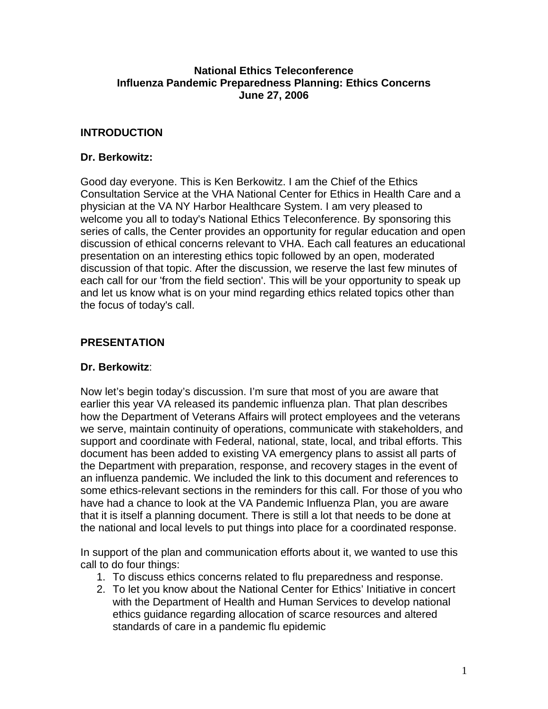#### **National Ethics Teleconference Influenza Pandemic Preparedness Planning: Ethics Concerns June 27, 2006**

### **INTRODUCTION**

#### **Dr. Berkowitz:**

Good day everyone. This is Ken Berkowitz. I am the Chief of the Ethics Consultation Service at the VHA National Center for Ethics in Health Care and a physician at the VA NY Harbor Healthcare System. I am very pleased to welcome you all to today's National Ethics Teleconference. By sponsoring this series of calls, the Center provides an opportunity for regular education and open discussion of ethical concerns relevant to VHA. Each call features an educational presentation on an interesting ethics topic followed by an open, moderated discussion of that topic. After the discussion, we reserve the last few minutes of each call for our 'from the field section'. This will be your opportunity to speak up and let us know what is on your mind regarding ethics related topics other than the focus of today's call.

#### **PRESENTATION**

#### **Dr. Berkowitz**:

Now let's begin today's discussion. I'm sure that most of you are aware that earlier this year VA released its pandemic influenza plan. That plan describes how the Department of Veterans Affairs will protect employees and the veterans we serve, maintain continuity of operations, communicate with stakeholders, and support and coordinate with Federal, national, state, local, and tribal efforts. This document has been added to existing VA emergency plans to assist all parts of the Department with preparation, response, and recovery stages in the event of an influenza pandemic. We included the link to this document and references to some ethics-relevant sections in the reminders for this call. For those of you who have had a chance to look at the VA Pandemic Influenza Plan, you are aware that it is itself a planning document. There is still a lot that needs to be done at the national and local levels to put things into place for a coordinated response.

In support of the plan and communication efforts about it, we wanted to use this call to do four things:

- 1. To discuss ethics concerns related to flu preparedness and response.
- 2. To let you know about the National Center for Ethics' Initiative in concert with the Department of Health and Human Services to develop national ethics guidance regarding allocation of scarce resources and altered standards of care in a pandemic flu epidemic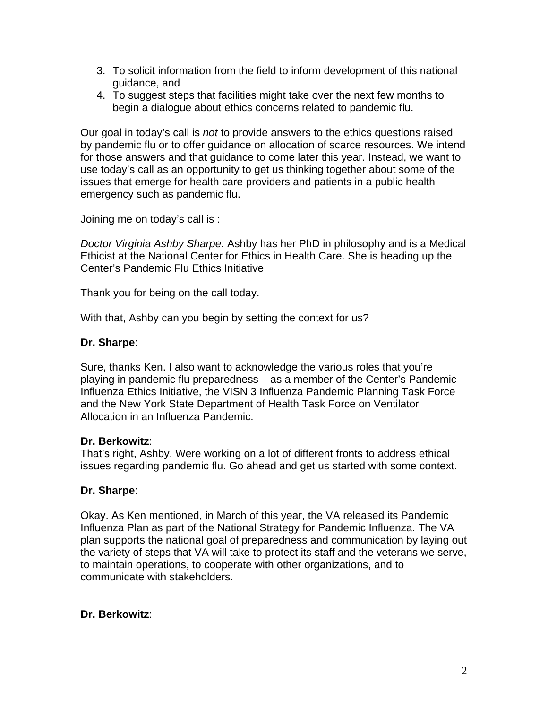- 3. To solicit information from the field to inform development of this national guidance, and
- 4. To suggest steps that facilities might take over the next few months to begin a dialogue about ethics concerns related to pandemic flu.

Our goal in today's call is *not* to provide answers to the ethics questions raised by pandemic flu or to offer guidance on allocation of scarce resources. We intend for those answers and that guidance to come later this year. Instead, we want to use today's call as an opportunity to get us thinking together about some of the issues that emerge for health care providers and patients in a public health emergency such as pandemic flu.

Joining me on today's call is :

*Doctor Virginia Ashby Sharpe.* Ashby has her PhD in philosophy and is a Medical Ethicist at the National Center for Ethics in Health Care. She is heading up the Center's Pandemic Flu Ethics Initiative

Thank you for being on the call today.

With that, Ashby can you begin by setting the context for us?

#### **Dr. Sharpe**:

Sure, thanks Ken. I also want to acknowledge the various roles that you're playing in pandemic flu preparedness – as a member of the Center's Pandemic Influenza Ethics Initiative, the VISN 3 Influenza Pandemic Planning Task Force and the New York State Department of Health Task Force on Ventilator Allocation in an Influenza Pandemic.

#### **Dr. Berkowitz**:

That's right, Ashby. Were working on a lot of different fronts to address ethical issues regarding pandemic flu. Go ahead and get us started with some context.

#### **Dr. Sharpe**:

Okay. As Ken mentioned, in March of this year, the VA released its Pandemic Influenza Plan as part of the National Strategy for Pandemic Influenza. The VA plan supports the national goal of preparedness and communication by laying out the variety of steps that VA will take to protect its staff and the veterans we serve, to maintain operations, to cooperate with other organizations, and to communicate with stakeholders.

#### **Dr. Berkowitz**: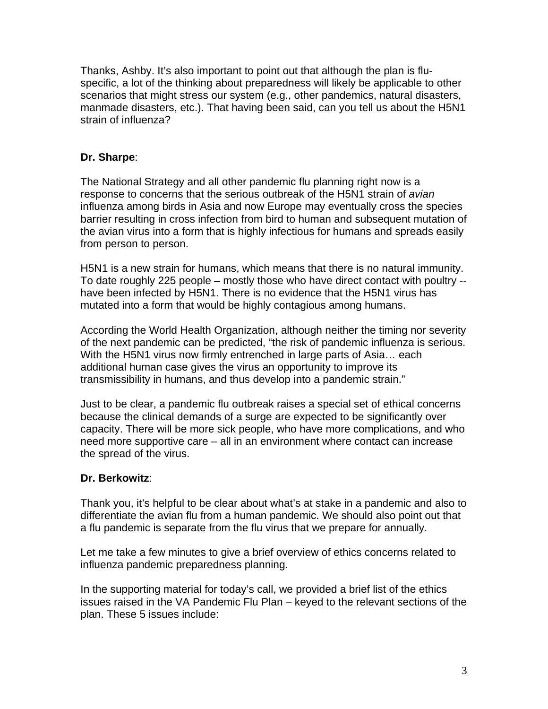Thanks, Ashby. It's also important to point out that although the plan is fluspecific, a lot of the thinking about preparedness will likely be applicable to other scenarios that might stress our system (e.g., other pandemics, natural disasters, manmade disasters, etc.). That having been said, can you tell us about the H5N1 strain of influenza?

### **Dr. Sharpe**:

The National Strategy and all other pandemic flu planning right now is a response to concerns that the serious outbreak of the H5N1 strain of *avian*  influenza among birds in Asia and now Europe may eventually cross the species barrier resulting in cross infection from bird to human and subsequent mutation of the avian virus into a form that is highly infectious for humans and spreads easily from person to person.

H5N1 is a new strain for humans, which means that there is no natural immunity. To date roughly 225 people – mostly those who have direct contact with poultry - have been infected by H5N1. There is no evidence that the H5N1 virus has mutated into a form that would be highly contagious among humans.

According the World Health Organization, although neither the timing nor severity of the next pandemic can be predicted, "the risk of pandemic influenza is serious. With the H5N1 virus now firmly entrenched in large parts of Asia… each additional human case gives the virus an opportunity to improve its transmissibility in humans, and thus develop into a pandemic strain."

Just to be clear, a pandemic flu outbreak raises a special set of ethical concerns because the clinical demands of a surge are expected to be significantly over capacity. There will be more sick people, who have more complications, and who need more supportive care – all in an environment where contact can increase the spread of the virus.

#### **Dr. Berkowitz**:

Thank you, it's helpful to be clear about what's at stake in a pandemic and also to differentiate the avian flu from a human pandemic. We should also point out that a flu pandemic is separate from the flu virus that we prepare for annually.

Let me take a few minutes to give a brief overview of ethics concerns related to influenza pandemic preparedness planning.

In the supporting material for today's call, we provided a brief list of the ethics issues raised in the VA Pandemic Flu Plan – keyed to the relevant sections of the plan. These 5 issues include: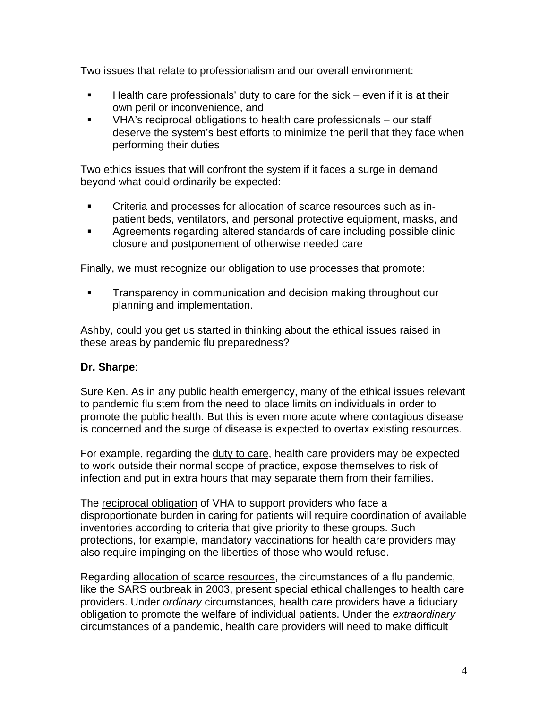Two issues that relate to professionalism and our overall environment:

- $\blacksquare$  Health care professionals' duty to care for the sick even if it is at their own peril or inconvenience, and
- VHA's reciprocal obligations to health care professionals our staff deserve the system's best efforts to minimize the peril that they face when performing their duties

Two ethics issues that will confront the system if it faces a surge in demand beyond what could ordinarily be expected:

- Criteria and processes for allocation of scarce resources such as inpatient beds, ventilators, and personal protective equipment, masks, and
- Agreements regarding altered standards of care including possible clinic closure and postponement of otherwise needed care

Finally, we must recognize our obligation to use processes that promote:

**Transparency in communication and decision making throughout our** planning and implementation.

Ashby, could you get us started in thinking about the ethical issues raised in these areas by pandemic flu preparedness?

# **Dr. Sharpe**:

Sure Ken. As in any public health emergency, many of the ethical issues relevant to pandemic flu stem from the need to place limits on individuals in order to promote the public health. But this is even more acute where contagious disease is concerned and the surge of disease is expected to overtax existing resources.

For example, regarding the duty to care, health care providers may be expected to work outside their normal scope of practice, expose themselves to risk of infection and put in extra hours that may separate them from their families.

The reciprocal obligation of VHA to support providers who face a disproportionate burden in caring for patients will require coordination of available inventories according to criteria that give priority to these groups. Such protections, for example, mandatory vaccinations for health care providers may also require impinging on the liberties of those who would refuse.

Regarding allocation of scarce resources, the circumstances of a flu pandemic, like the SARS outbreak in 2003, present special ethical challenges to health care providers. Under *ordinary* circumstances, health care providers have a fiduciary obligation to promote the welfare of individual patients. Under the *extraordinary*  circumstances of a pandemic, health care providers will need to make difficult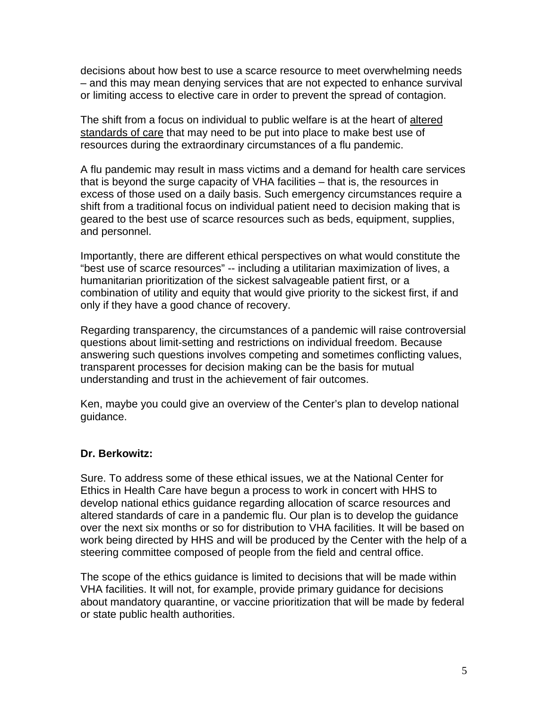decisions about how best to use a scarce resource to meet overwhelming needs – and this may mean denying services that are not expected to enhance survival or limiting access to elective care in order to prevent the spread of contagion.

The shift from a focus on individual to public welfare is at the heart of altered standards of care that may need to be put into place to make best use of resources during the extraordinary circumstances of a flu pandemic.

A flu pandemic may result in mass victims and a demand for health care services that is beyond the surge capacity of VHA facilities – that is, the resources in excess of those used on a daily basis. Such emergency circumstances require a shift from a traditional focus on individual patient need to decision making that is geared to the best use of scarce resources such as beds, equipment, supplies, and personnel.

Importantly, there are different ethical perspectives on what would constitute the "best use of scarce resources" -- including a utilitarian maximization of lives, a humanitarian prioritization of the sickest salvageable patient first, or a combination of utility and equity that would give priority to the sickest first, if and only if they have a good chance of recovery.

Regarding transparency, the circumstances of a pandemic will raise controversial questions about limit-setting and restrictions on individual freedom. Because answering such questions involves competing and sometimes conflicting values, transparent processes for decision making can be the basis for mutual understanding and trust in the achievement of fair outcomes.

Ken, maybe you could give an overview of the Center's plan to develop national guidance.

#### **Dr. Berkowitz:**

Sure. To address some of these ethical issues, we at the National Center for Ethics in Health Care have begun a process to work in concert with HHS to develop national ethics guidance regarding allocation of scarce resources and altered standards of care in a pandemic flu. Our plan is to develop the guidance over the next six months or so for distribution to VHA facilities. It will be based on work being directed by HHS and will be produced by the Center with the help of a steering committee composed of people from the field and central office.

The scope of the ethics guidance is limited to decisions that will be made within VHA facilities. It will not, for example, provide primary guidance for decisions about mandatory quarantine, or vaccine prioritization that will be made by federal or state public health authorities.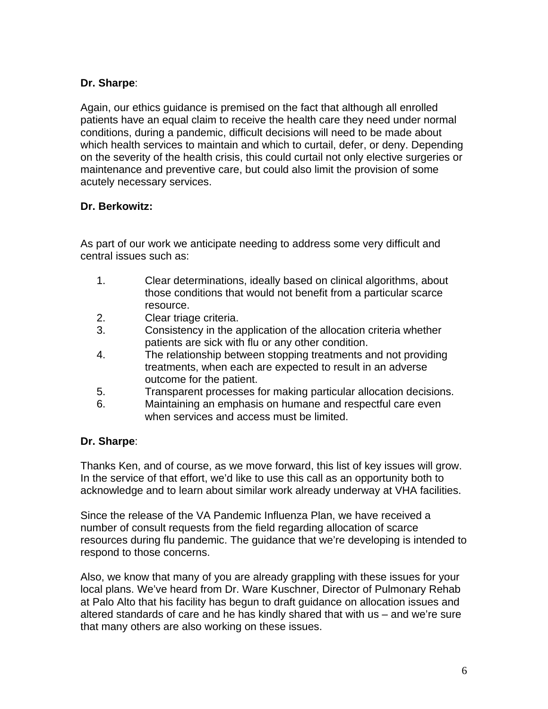# **Dr. Sharpe**:

Again, our ethics guidance is premised on the fact that although all enrolled patients have an equal claim to receive the health care they need under normal conditions, during a pandemic, difficult decisions will need to be made about which health services to maintain and which to curtail, defer, or deny. Depending on the severity of the health crisis, this could curtail not only elective surgeries or maintenance and preventive care, but could also limit the provision of some acutely necessary services.

# **Dr. Berkowitz:**

As part of our work we anticipate needing to address some very difficult and central issues such as:

- 1. Clear determinations, ideally based on clinical algorithms, about those conditions that would not benefit from a particular scarce resource.
- 2. Clear triage criteria.
- 3. Consistency in the application of the allocation criteria whether patients are sick with flu or any other condition.
- 4. The relationship between stopping treatments and not providing treatments, when each are expected to result in an adverse outcome for the patient.
- 5. Transparent processes for making particular allocation decisions.
- 6. Maintaining an emphasis on humane and respectful care even when services and access must be limited.

# **Dr. Sharpe**:

Thanks Ken, and of course, as we move forward, this list of key issues will grow. In the service of that effort, we'd like to use this call as an opportunity both to acknowledge and to learn about similar work already underway at VHA facilities.

Since the release of the VA Pandemic Influenza Plan, we have received a number of consult requests from the field regarding allocation of scarce resources during flu pandemic. The guidance that we're developing is intended to respond to those concerns.

Also, we know that many of you are already grappling with these issues for your local plans. We've heard from Dr. Ware Kuschner, Director of Pulmonary Rehab at Palo Alto that his facility has begun to draft guidance on allocation issues and altered standards of care and he has kindly shared that with us – and we're sure that many others are also working on these issues.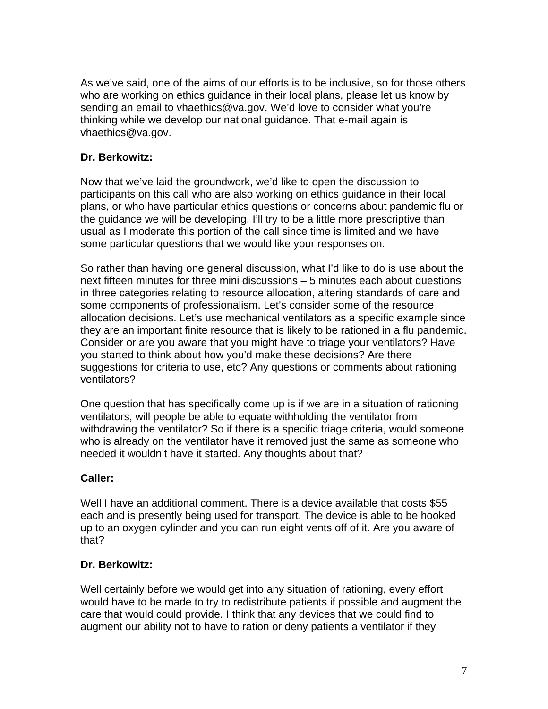As we've said, one of the aims of our efforts is to be inclusive, so for those others who are working on ethics guidance in their local plans, please let us know by sending an email to vhaethics@va.gov. We'd love to consider what you're thinking while we develop our national guidance. That e-mail again is vhaethics@va.gov.

### **Dr. Berkowitz:**

Now that we've laid the groundwork, we'd like to open the discussion to participants on this call who are also working on ethics guidance in their local plans, or who have particular ethics questions or concerns about pandemic flu or the guidance we will be developing. I'll try to be a little more prescriptive than usual as I moderate this portion of the call since time is limited and we have some particular questions that we would like your responses on.

So rather than having one general discussion, what I'd like to do is use about the next fifteen minutes for three mini discussions – 5 minutes each about questions in three categories relating to resource allocation, altering standards of care and some components of professionalism. Let's consider some of the resource allocation decisions. Let's use mechanical ventilators as a specific example since they are an important finite resource that is likely to be rationed in a flu pandemic. Consider or are you aware that you might have to triage your ventilators? Have you started to think about how you'd make these decisions? Are there suggestions for criteria to use, etc? Any questions or comments about rationing ventilators?

One question that has specifically come up is if we are in a situation of rationing ventilators, will people be able to equate withholding the ventilator from withdrawing the ventilator? So if there is a specific triage criteria, would someone who is already on the ventilator have it removed just the same as someone who needed it wouldn't have it started. Any thoughts about that?

# **Caller:**

Well I have an additional comment. There is a device available that costs \$55 each and is presently being used for transport. The device is able to be hooked up to an oxygen cylinder and you can run eight vents off of it. Are you aware of that?

#### **Dr. Berkowitz:**

Well certainly before we would get into any situation of rationing, every effort would have to be made to try to redistribute patients if possible and augment the care that would could provide. I think that any devices that we could find to augment our ability not to have to ration or deny patients a ventilator if they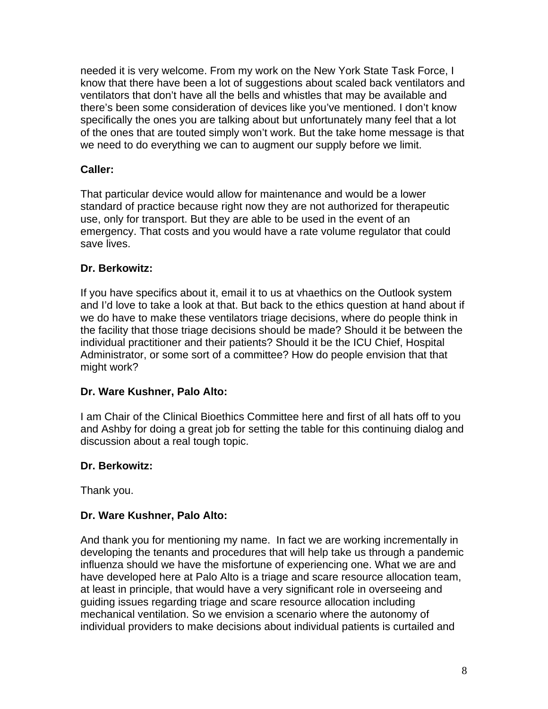needed it is very welcome. From my work on the New York State Task Force, I know that there have been a lot of suggestions about scaled back ventilators and ventilators that don't have all the bells and whistles that may be available and there's been some consideration of devices like you've mentioned. I don't know specifically the ones you are talking about but unfortunately many feel that a lot of the ones that are touted simply won't work. But the take home message is that we need to do everything we can to augment our supply before we limit.

# **Caller:**

That particular device would allow for maintenance and would be a lower standard of practice because right now they are not authorized for therapeutic use, only for transport. But they are able to be used in the event of an emergency. That costs and you would have a rate volume regulator that could save lives.

# **Dr. Berkowitz:**

If you have specifics about it, email it to us at vhaethics on the Outlook system and I'd love to take a look at that. But back to the ethics question at hand about if we do have to make these ventilators triage decisions, where do people think in the facility that those triage decisions should be made? Should it be between the individual practitioner and their patients? Should it be the ICU Chief, Hospital Administrator, or some sort of a committee? How do people envision that that might work?

# **Dr. Ware Kushner, Palo Alto:**

I am Chair of the Clinical Bioethics Committee here and first of all hats off to you and Ashby for doing a great job for setting the table for this continuing dialog and discussion about a real tough topic.

# **Dr. Berkowitz:**

Thank you.

# **Dr. Ware Kushner, Palo Alto:**

And thank you for mentioning my name. In fact we are working incrementally in developing the tenants and procedures that will help take us through a pandemic influenza should we have the misfortune of experiencing one. What we are and have developed here at Palo Alto is a triage and scare resource allocation team, at least in principle, that would have a very significant role in overseeing and guiding issues regarding triage and scare resource allocation including mechanical ventilation. So we envision a scenario where the autonomy of individual providers to make decisions about individual patients is curtailed and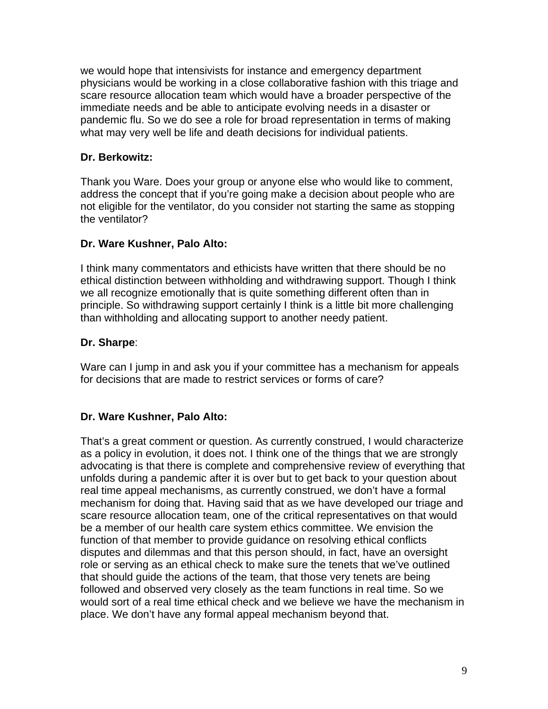we would hope that intensivists for instance and emergency department physicians would be working in a close collaborative fashion with this triage and scare resource allocation team which would have a broader perspective of the immediate needs and be able to anticipate evolving needs in a disaster or pandemic flu. So we do see a role for broad representation in terms of making what may very well be life and death decisions for individual patients.

### **Dr. Berkowitz:**

Thank you Ware. Does your group or anyone else who would like to comment, address the concept that if you're going make a decision about people who are not eligible for the ventilator, do you consider not starting the same as stopping the ventilator?

### **Dr. Ware Kushner, Palo Alto:**

I think many commentators and ethicists have written that there should be no ethical distinction between withholding and withdrawing support. Though I think we all recognize emotionally that is quite something different often than in principle. So withdrawing support certainly I think is a little bit more challenging than withholding and allocating support to another needy patient.

#### **Dr. Sharpe**:

Ware can I jump in and ask you if your committee has a mechanism for appeals for decisions that are made to restrict services or forms of care?

# **Dr. Ware Kushner, Palo Alto:**

That's a great comment or question. As currently construed, I would characterize as a policy in evolution, it does not. I think one of the things that we are strongly advocating is that there is complete and comprehensive review of everything that unfolds during a pandemic after it is over but to get back to your question about real time appeal mechanisms, as currently construed, we don't have a formal mechanism for doing that. Having said that as we have developed our triage and scare resource allocation team, one of the critical representatives on that would be a member of our health care system ethics committee. We envision the function of that member to provide guidance on resolving ethical conflicts disputes and dilemmas and that this person should, in fact, have an oversight role or serving as an ethical check to make sure the tenets that we've outlined that should guide the actions of the team, that those very tenets are being followed and observed very closely as the team functions in real time. So we would sort of a real time ethical check and we believe we have the mechanism in place. We don't have any formal appeal mechanism beyond that.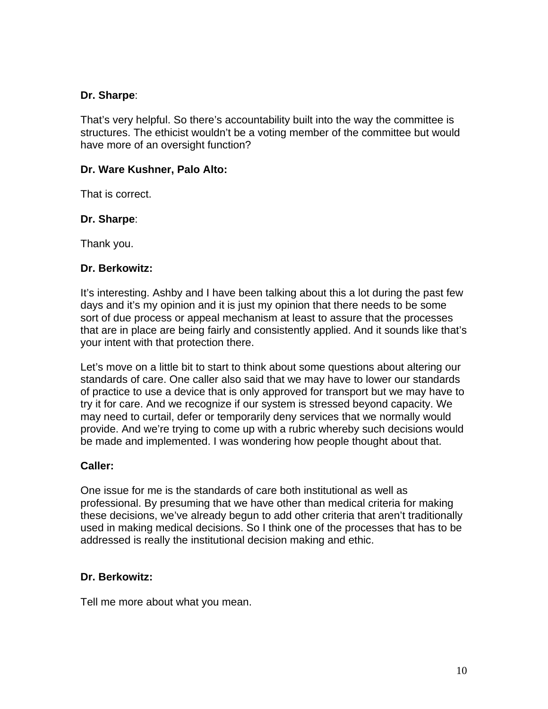### **Dr. Sharpe**:

That's very helpful. So there's accountability built into the way the committee is structures. The ethicist wouldn't be a voting member of the committee but would have more of an oversight function?

### **Dr. Ware Kushner, Palo Alto:**

That is correct.

#### **Dr. Sharpe**:

Thank you.

#### **Dr. Berkowitz:**

It's interesting. Ashby and I have been talking about this a lot during the past few days and it's my opinion and it is just my opinion that there needs to be some sort of due process or appeal mechanism at least to assure that the processes that are in place are being fairly and consistently applied. And it sounds like that's your intent with that protection there.

Let's move on a little bit to start to think about some questions about altering our standards of care. One caller also said that we may have to lower our standards of practice to use a device that is only approved for transport but we may have to try it for care. And we recognize if our system is stressed beyond capacity. We may need to curtail, defer or temporarily deny services that we normally would provide. And we're trying to come up with a rubric whereby such decisions would be made and implemented. I was wondering how people thought about that.

#### **Caller:**

One issue for me is the standards of care both institutional as well as professional. By presuming that we have other than medical criteria for making these decisions, we've already begun to add other criteria that aren't traditionally used in making medical decisions. So I think one of the processes that has to be addressed is really the institutional decision making and ethic.

#### **Dr. Berkowitz:**

Tell me more about what you mean.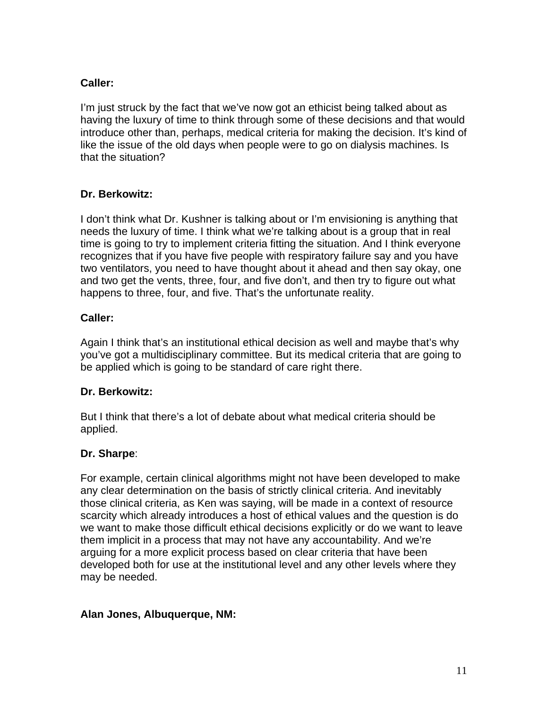# **Caller:**

I'm just struck by the fact that we've now got an ethicist being talked about as having the luxury of time to think through some of these decisions and that would introduce other than, perhaps, medical criteria for making the decision. It's kind of like the issue of the old days when people were to go on dialysis machines. Is that the situation?

# **Dr. Berkowitz:**

I don't think what Dr. Kushner is talking about or I'm envisioning is anything that needs the luxury of time. I think what we're talking about is a group that in real time is going to try to implement criteria fitting the situation. And I think everyone recognizes that if you have five people with respiratory failure say and you have two ventilators, you need to have thought about it ahead and then say okay, one and two get the vents, three, four, and five don't, and then try to figure out what happens to three, four, and five. That's the unfortunate reality.

### **Caller:**

Again I think that's an institutional ethical decision as well and maybe that's why you've got a multidisciplinary committee. But its medical criteria that are going to be applied which is going to be standard of care right there.

#### **Dr. Berkowitz:**

But I think that there's a lot of debate about what medical criteria should be applied.

#### **Dr. Sharpe**:

For example, certain clinical algorithms might not have been developed to make any clear determination on the basis of strictly clinical criteria. And inevitably those clinical criteria, as Ken was saying, will be made in a context of resource scarcity which already introduces a host of ethical values and the question is do we want to make those difficult ethical decisions explicitly or do we want to leave them implicit in a process that may not have any accountability. And we're arguing for a more explicit process based on clear criteria that have been developed both for use at the institutional level and any other levels where they may be needed.

#### **Alan Jones, Albuquerque, NM:**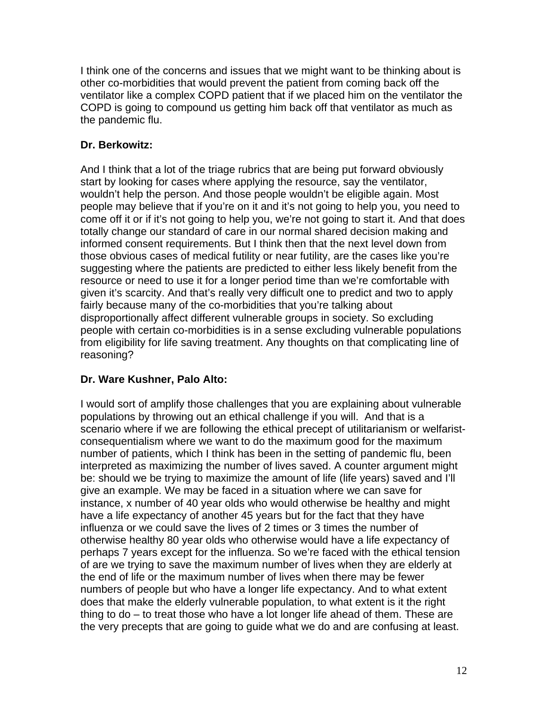I think one of the concerns and issues that we might want to be thinking about is other co-morbidities that would prevent the patient from coming back off the ventilator like a complex COPD patient that if we placed him on the ventilator the COPD is going to compound us getting him back off that ventilator as much as the pandemic flu.

# **Dr. Berkowitz:**

And I think that a lot of the triage rubrics that are being put forward obviously start by looking for cases where applying the resource, say the ventilator, wouldn't help the person. And those people wouldn't be eligible again. Most people may believe that if you're on it and it's not going to help you, you need to come off it or if it's not going to help you, we're not going to start it. And that does totally change our standard of care in our normal shared decision making and informed consent requirements. But I think then that the next level down from those obvious cases of medical futility or near futility, are the cases like you're suggesting where the patients are predicted to either less likely benefit from the resource or need to use it for a longer period time than we're comfortable with given it's scarcity. And that's really very difficult one to predict and two to apply fairly because many of the co-morbidities that you're talking about disproportionally affect different vulnerable groups in society. So excluding people with certain co-morbidities is in a sense excluding vulnerable populations from eligibility for life saving treatment. Any thoughts on that complicating line of reasoning?

# **Dr. Ware Kushner, Palo Alto:**

I would sort of amplify those challenges that you are explaining about vulnerable populations by throwing out an ethical challenge if you will. And that is a scenario where if we are following the ethical precept of utilitarianism or welfaristconsequentialism where we want to do the maximum good for the maximum number of patients, which I think has been in the setting of pandemic flu, been interpreted as maximizing the number of lives saved. A counter argument might be: should we be trying to maximize the amount of life (life years) saved and I'll give an example. We may be faced in a situation where we can save for instance, x number of 40 year olds who would otherwise be healthy and might have a life expectancy of another 45 years but for the fact that they have influenza or we could save the lives of 2 times or 3 times the number of otherwise healthy 80 year olds who otherwise would have a life expectancy of perhaps 7 years except for the influenza. So we're faced with the ethical tension of are we trying to save the maximum number of lives when they are elderly at the end of life or the maximum number of lives when there may be fewer numbers of people but who have a longer life expectancy. And to what extent does that make the elderly vulnerable population, to what extent is it the right thing to do – to treat those who have a lot longer life ahead of them. These are the very precepts that are going to guide what we do and are confusing at least.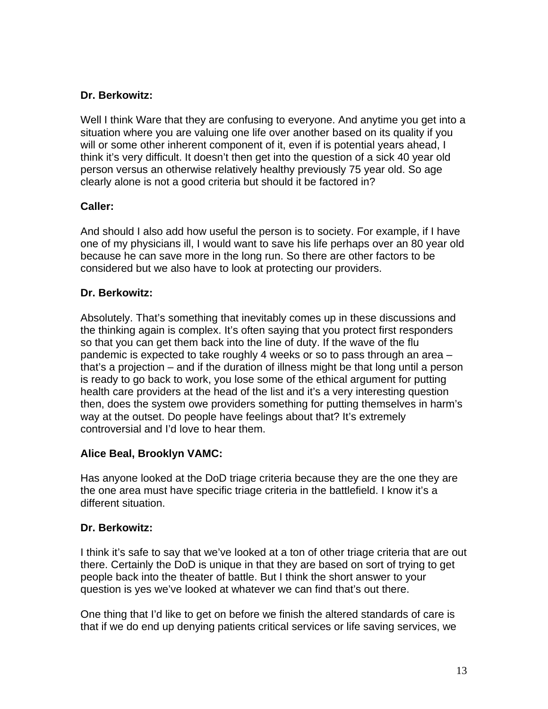# **Dr. Berkowitz:**

Well I think Ware that they are confusing to everyone. And anytime you get into a situation where you are valuing one life over another based on its quality if you will or some other inherent component of it, even if is potential years ahead, I think it's very difficult. It doesn't then get into the question of a sick 40 year old person versus an otherwise relatively healthy previously 75 year old. So age clearly alone is not a good criteria but should it be factored in?

# **Caller:**

And should I also add how useful the person is to society. For example, if I have one of my physicians ill, I would want to save his life perhaps over an 80 year old because he can save more in the long run. So there are other factors to be considered but we also have to look at protecting our providers.

# **Dr. Berkowitz:**

Absolutely. That's something that inevitably comes up in these discussions and the thinking again is complex. It's often saying that you protect first responders so that you can get them back into the line of duty. If the wave of the flu pandemic is expected to take roughly 4 weeks or so to pass through an area – that's a projection – and if the duration of illness might be that long until a person is ready to go back to work, you lose some of the ethical argument for putting health care providers at the head of the list and it's a very interesting question then, does the system owe providers something for putting themselves in harm's way at the outset. Do people have feelings about that? It's extremely controversial and I'd love to hear them.

# **Alice Beal, Brooklyn VAMC:**

Has anyone looked at the DoD triage criteria because they are the one they are the one area must have specific triage criteria in the battlefield. I know it's a different situation.

# **Dr. Berkowitz:**

I think it's safe to say that we've looked at a ton of other triage criteria that are out there. Certainly the DoD is unique in that they are based on sort of trying to get people back into the theater of battle. But I think the short answer to your question is yes we've looked at whatever we can find that's out there.

One thing that I'd like to get on before we finish the altered standards of care is that if we do end up denying patients critical services or life saving services, we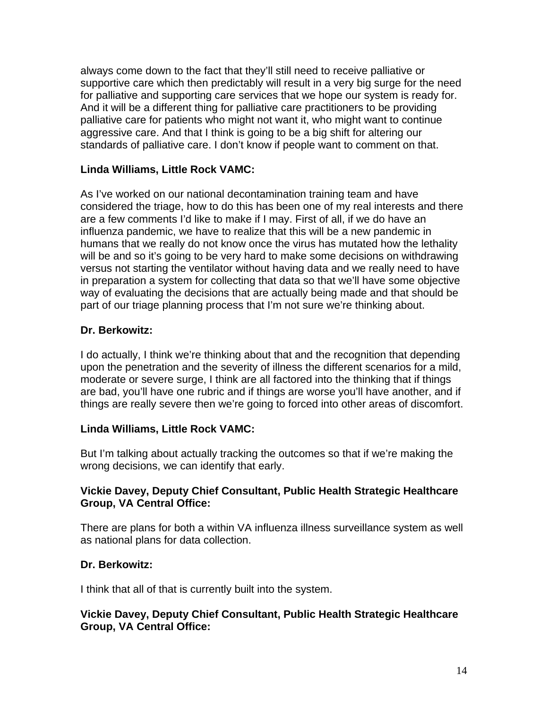always come down to the fact that they'll still need to receive palliative or supportive care which then predictably will result in a very big surge for the need for palliative and supporting care services that we hope our system is ready for. And it will be a different thing for palliative care practitioners to be providing palliative care for patients who might not want it, who might want to continue aggressive care. And that I think is going to be a big shift for altering our standards of palliative care. I don't know if people want to comment on that.

### **Linda Williams, Little Rock VAMC:**

As I've worked on our national decontamination training team and have considered the triage, how to do this has been one of my real interests and there are a few comments I'd like to make if I may. First of all, if we do have an influenza pandemic, we have to realize that this will be a new pandemic in humans that we really do not know once the virus has mutated how the lethality will be and so it's going to be very hard to make some decisions on withdrawing versus not starting the ventilator without having data and we really need to have in preparation a system for collecting that data so that we'll have some objective way of evaluating the decisions that are actually being made and that should be part of our triage planning process that I'm not sure we're thinking about.

#### **Dr. Berkowitz:**

I do actually, I think we're thinking about that and the recognition that depending upon the penetration and the severity of illness the different scenarios for a mild, moderate or severe surge, I think are all factored into the thinking that if things are bad, you'll have one rubric and if things are worse you'll have another, and if things are really severe then we're going to forced into other areas of discomfort.

# **Linda Williams, Little Rock VAMC:**

But I'm talking about actually tracking the outcomes so that if we're making the wrong decisions, we can identify that early.

### **Vickie Davey, Deputy Chief Consultant, Public Health Strategic Healthcare Group, VA Central Office:**

There are plans for both a within VA influenza illness surveillance system as well as national plans for data collection.

#### **Dr. Berkowitz:**

I think that all of that is currently built into the system.

### **Vickie Davey, Deputy Chief Consultant, Public Health Strategic Healthcare Group, VA Central Office:**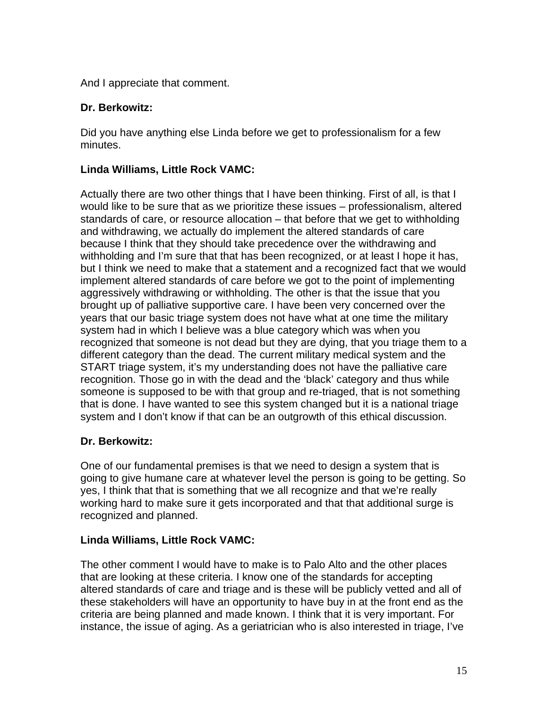And I appreciate that comment.

### **Dr. Berkowitz:**

Did you have anything else Linda before we get to professionalism for a few minutes.

### **Linda Williams, Little Rock VAMC:**

Actually there are two other things that I have been thinking. First of all, is that I would like to be sure that as we prioritize these issues – professionalism, altered standards of care, or resource allocation – that before that we get to withholding and withdrawing, we actually do implement the altered standards of care because I think that they should take precedence over the withdrawing and withholding and I'm sure that that has been recognized, or at least I hope it has, but I think we need to make that a statement and a recognized fact that we would implement altered standards of care before we got to the point of implementing aggressively withdrawing or withholding. The other is that the issue that you brought up of palliative supportive care. I have been very concerned over the years that our basic triage system does not have what at one time the military system had in which I believe was a blue category which was when you recognized that someone is not dead but they are dying, that you triage them to a different category than the dead. The current military medical system and the START triage system, it's my understanding does not have the palliative care recognition. Those go in with the dead and the 'black' category and thus while someone is supposed to be with that group and re-triaged, that is not something that is done. I have wanted to see this system changed but it is a national triage system and I don't know if that can be an outgrowth of this ethical discussion.

# **Dr. Berkowitz:**

One of our fundamental premises is that we need to design a system that is going to give humane care at whatever level the person is going to be getting. So yes, I think that that is something that we all recognize and that we're really working hard to make sure it gets incorporated and that that additional surge is recognized and planned.

#### **Linda Williams, Little Rock VAMC:**

The other comment I would have to make is to Palo Alto and the other places that are looking at these criteria. I know one of the standards for accepting altered standards of care and triage and is these will be publicly vetted and all of these stakeholders will have an opportunity to have buy in at the front end as the criteria are being planned and made known. I think that it is very important. For instance, the issue of aging. As a geriatrician who is also interested in triage, I've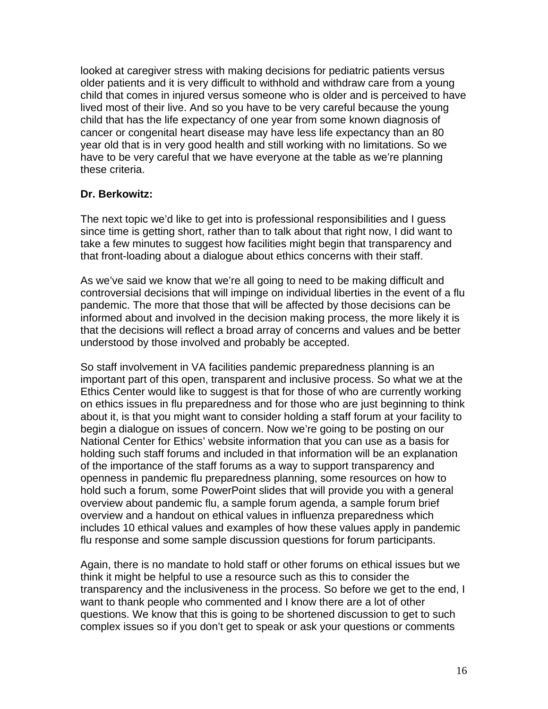looked at caregiver stress with making decisions for pediatric patients versus older patients and it is very difficult to withhold and withdraw care from a young child that comes in injured versus someone who is older and is perceived to have lived most of their live. And so you have to be very careful because the young child that has the life expectancy of one year from some known diagnosis of cancer or congenital heart disease may have less life expectancy than an 80 year old that is in very good health and still working with no limitations. So we have to be very careful that we have everyone at the table as we're planning these criteria.

### **Dr. Berkowitz:**

The next topic we'd like to get into is professional responsibilities and I guess since time is getting short, rather than to talk about that right now, I did want to take a few minutes to suggest how facilities might begin that transparency and that front-loading about a dialogue about ethics concerns with their staff.

As we've said we know that we're all going to need to be making difficult and controversial decisions that will impinge on individual liberties in the event of a flu pandemic. The more that those that will be affected by those decisions can be informed about and involved in the decision making process, the more likely it is that the decisions will reflect a broad array of concerns and values and be better understood by those involved and probably be accepted.

So staff involvement in VA facilities pandemic preparedness planning is an important part of this open, transparent and inclusive process. So what we at the Ethics Center would like to suggest is that for those of who are currently working on ethics issues in flu preparedness and for those who are just beginning to think about it, is that you might want to consider holding a staff forum at your facility to begin a dialogue on issues of concern. Now we're going to be posting on our National Center for Ethics' website information that you can use as a basis for holding such staff forums and included in that information will be an explanation of the importance of the staff forums as a way to support transparency and openness in pandemic flu preparedness planning, some resources on how to hold such a forum, some PowerPoint slides that will provide you with a general overview about pandemic flu, a sample forum agenda, a sample forum brief overview and a handout on ethical values in influenza preparedness which includes 10 ethical values and examples of how these values apply in pandemic flu response and some sample discussion questions for forum participants.

Again, there is no mandate to hold staff or other forums on ethical issues but we think it might be helpful to use a resource such as this to consider the transparency and the inclusiveness in the process. So before we get to the end, I want to thank people who commented and I know there are a lot of other questions. We know that this is going to be shortened discussion to get to such complex issues so if you don't get to speak or ask your questions or comments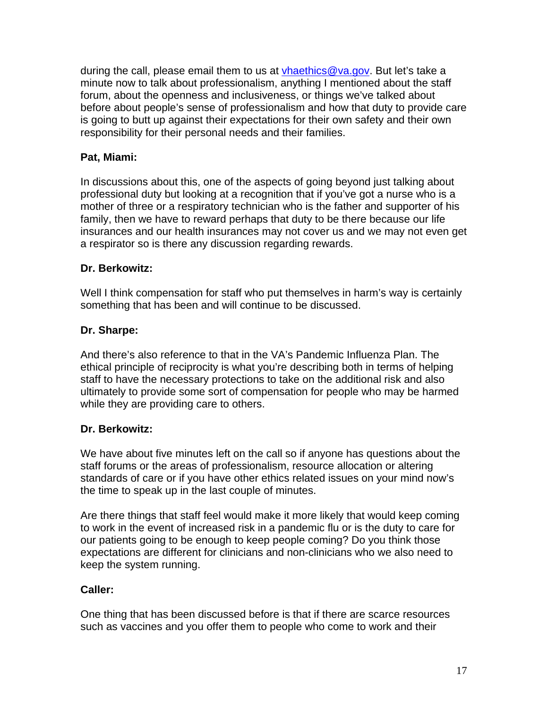during the call, please email them to us at vhaethics@va.gov. But let's take a minute now to talk about professionalism, anything I mentioned about the staff forum, about the openness and inclusiveness, or things we've talked about before about people's sense of professionalism and how that duty to provide care is going to butt up against their expectations for their own safety and their own responsibility for their personal needs and their families.

# **Pat, Miami:**

In discussions about this, one of the aspects of going beyond just talking about professional duty but looking at a recognition that if you've got a nurse who is a mother of three or a respiratory technician who is the father and supporter of his family, then we have to reward perhaps that duty to be there because our life insurances and our health insurances may not cover us and we may not even get a respirator so is there any discussion regarding rewards.

# **Dr. Berkowitz:**

Well I think compensation for staff who put themselves in harm's way is certainly something that has been and will continue to be discussed.

# **Dr. Sharpe:**

And there's also reference to that in the VA's Pandemic Influenza Plan. The ethical principle of reciprocity is what you're describing both in terms of helping staff to have the necessary protections to take on the additional risk and also ultimately to provide some sort of compensation for people who may be harmed while they are providing care to others.

# **Dr. Berkowitz:**

We have about five minutes left on the call so if anyone has questions about the staff forums or the areas of professionalism, resource allocation or altering standards of care or if you have other ethics related issues on your mind now's the time to speak up in the last couple of minutes.

Are there things that staff feel would make it more likely that would keep coming to work in the event of increased risk in a pandemic flu or is the duty to care for our patients going to be enough to keep people coming? Do you think those expectations are different for clinicians and non-clinicians who we also need to keep the system running.

# **Caller:**

One thing that has been discussed before is that if there are scarce resources such as vaccines and you offer them to people who come to work and their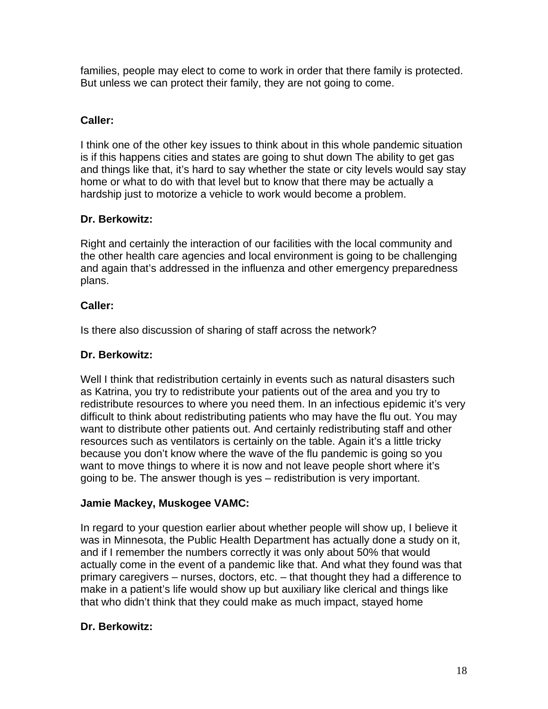families, people may elect to come to work in order that there family is protected. But unless we can protect their family, they are not going to come.

# **Caller:**

I think one of the other key issues to think about in this whole pandemic situation is if this happens cities and states are going to shut down The ability to get gas and things like that, it's hard to say whether the state or city levels would say stay home or what to do with that level but to know that there may be actually a hardship just to motorize a vehicle to work would become a problem.

# **Dr. Berkowitz:**

Right and certainly the interaction of our facilities with the local community and the other health care agencies and local environment is going to be challenging and again that's addressed in the influenza and other emergency preparedness plans.

# **Caller:**

Is there also discussion of sharing of staff across the network?

# **Dr. Berkowitz:**

Well I think that redistribution certainly in events such as natural disasters such as Katrina, you try to redistribute your patients out of the area and you try to redistribute resources to where you need them. In an infectious epidemic it's very difficult to think about redistributing patients who may have the flu out. You may want to distribute other patients out. And certainly redistributing staff and other resources such as ventilators is certainly on the table. Again it's a little tricky because you don't know where the wave of the flu pandemic is going so you want to move things to where it is now and not leave people short where it's going to be. The answer though is yes – redistribution is very important.

# **Jamie Mackey, Muskogee VAMC:**

In regard to your question earlier about whether people will show up, I believe it was in Minnesota, the Public Health Department has actually done a study on it, and if I remember the numbers correctly it was only about 50% that would actually come in the event of a pandemic like that. And what they found was that primary caregivers – nurses, doctors, etc. – that thought they had a difference to make in a patient's life would show up but auxiliary like clerical and things like that who didn't think that they could make as much impact, stayed home

# **Dr. Berkowitz:**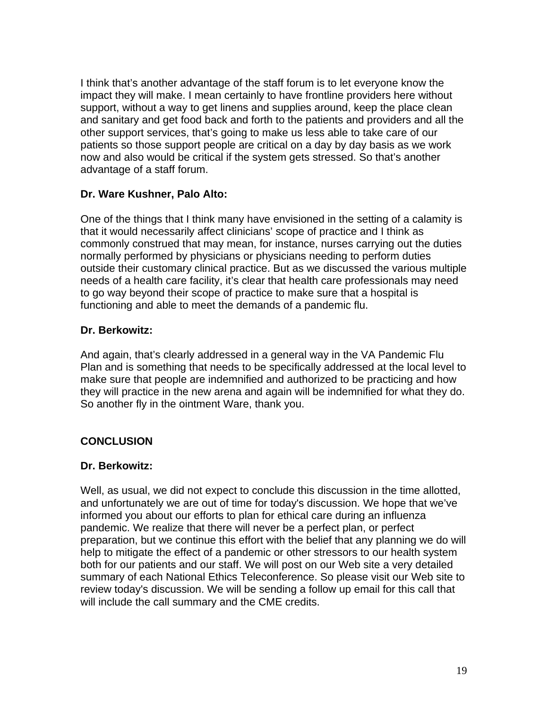I think that's another advantage of the staff forum is to let everyone know the impact they will make. I mean certainly to have frontline providers here without support, without a way to get linens and supplies around, keep the place clean and sanitary and get food back and forth to the patients and providers and all the other support services, that's going to make us less able to take care of our patients so those support people are critical on a day by day basis as we work now and also would be critical if the system gets stressed. So that's another advantage of a staff forum.

### **Dr. Ware Kushner, Palo Alto:**

One of the things that I think many have envisioned in the setting of a calamity is that it would necessarily affect clinicians' scope of practice and I think as commonly construed that may mean, for instance, nurses carrying out the duties normally performed by physicians or physicians needing to perform duties outside their customary clinical practice. But as we discussed the various multiple needs of a health care facility, it's clear that health care professionals may need to go way beyond their scope of practice to make sure that a hospital is functioning and able to meet the demands of a pandemic flu.

### **Dr. Berkowitz:**

And again, that's clearly addressed in a general way in the VA Pandemic Flu Plan and is something that needs to be specifically addressed at the local level to make sure that people are indemnified and authorized to be practicing and how they will practice in the new arena and again will be indemnified for what they do. So another fly in the ointment Ware, thank you.

# **CONCLUSION**

#### **Dr. Berkowitz:**

Well, as usual, we did not expect to conclude this discussion in the time allotted, and unfortunately we are out of time for today's discussion. We hope that we've informed you about our efforts to plan for ethical care during an influenza pandemic. We realize that there will never be a perfect plan, or perfect preparation, but we continue this effort with the belief that any planning we do will help to mitigate the effect of a pandemic or other stressors to our health system both for our patients and our staff. We will post on our Web site a very detailed summary of each National Ethics Teleconference. So please visit our Web site to review today's discussion. We will be sending a follow up email for this call that will include the call summary and the CME credits.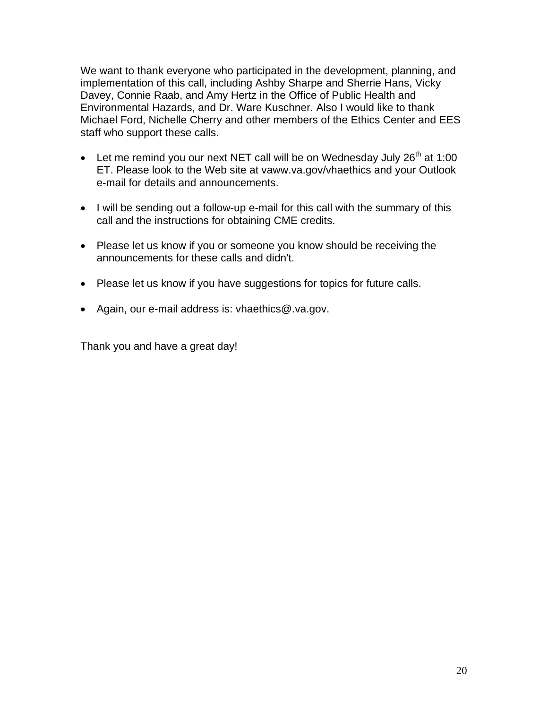We want to thank everyone who participated in the development, planning, and implementation of this call, including Ashby Sharpe and Sherrie Hans, Vicky Davey, Connie Raab, and Amy Hertz in the Office of Public Health and Environmental Hazards, and Dr. Ware Kuschner. Also I would like to thank Michael Ford, Nichelle Cherry and other members of the Ethics Center and EES staff who support these calls.

- Let me remind you our next NET call will be on Wednesday July 26<sup>th</sup> at 1:00 ET. Please look to the Web site at vaww.va.gov/vhaethics and your Outlook e-mail for details and announcements.
- $\bullet$  I will be sending out a follow-up e-mail for this call with the summary of this call and the instructions for obtaining CME credits.
- Please let us know if you or someone you know should be receiving the announcements for these calls and didn't.
- Please let us know if you have suggestions for topics for future calls.
- • Again, our e-mail address is: vhaethics@.va.gov.

Thank you and have a great day!